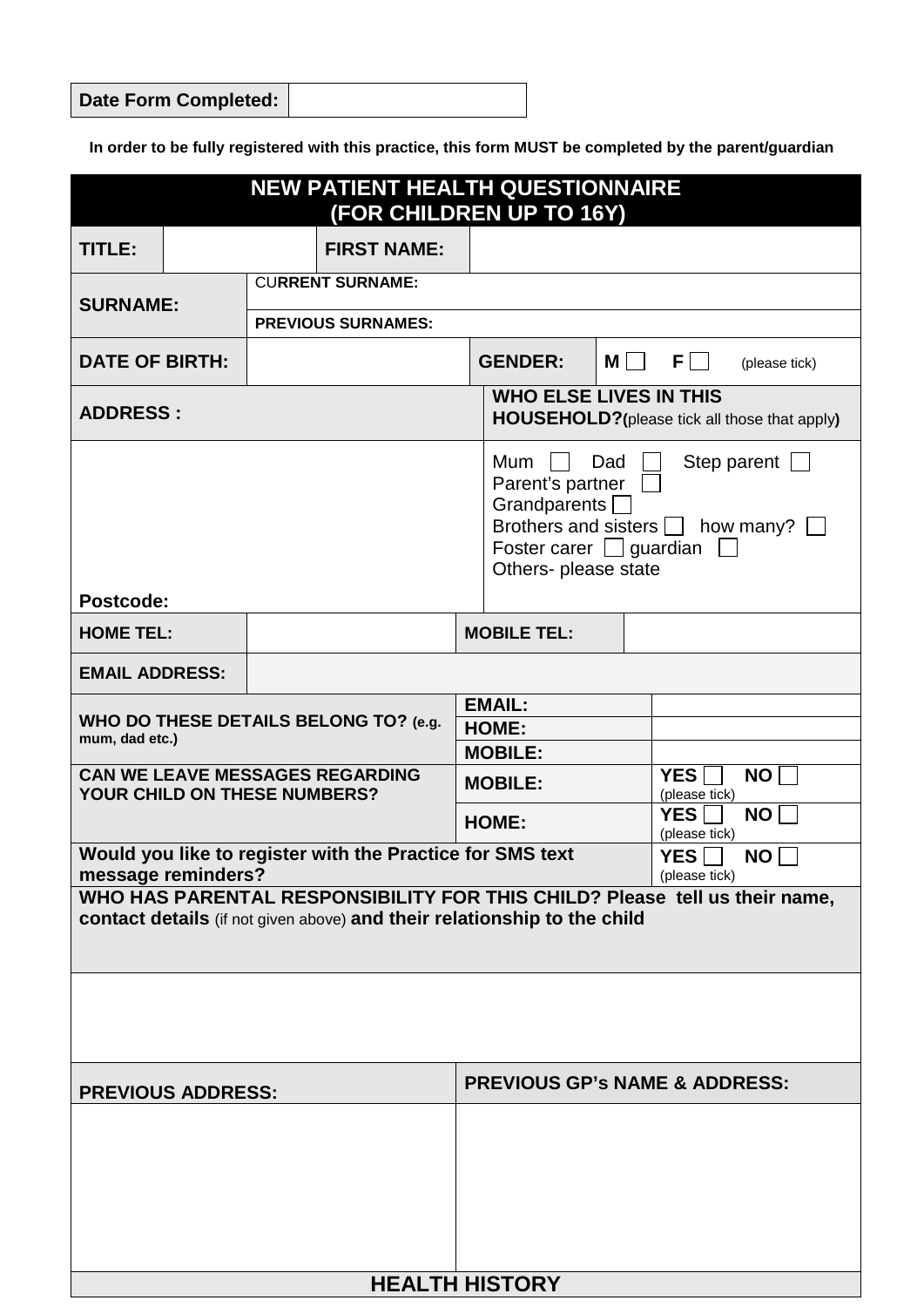| Date Form Completed: |
|----------------------|
|----------------------|

**In order to be fully registered with this practice, this form MUST be completed by the parent/guardian**

| <b>NEW PATIENT HEALTH QUESTIONNAIRE</b><br>(FOR CHILDREN UP TO 16Y)                                                                                    |  |                           |                                  |                                                                                       |                                                                                                                             |     |                                        |
|--------------------------------------------------------------------------------------------------------------------------------------------------------|--|---------------------------|----------------------------------|---------------------------------------------------------------------------------------|-----------------------------------------------------------------------------------------------------------------------------|-----|----------------------------------------|
| TITLE:                                                                                                                                                 |  |                           | <b>FIRST NAME:</b>               |                                                                                       |                                                                                                                             |     |                                        |
| <b>SURNAME:</b>                                                                                                                                        |  |                           | <b>CURRENT SURNAME:</b>          |                                                                                       |                                                                                                                             |     |                                        |
|                                                                                                                                                        |  | <b>PREVIOUS SURNAMES:</b> |                                  |                                                                                       |                                                                                                                             |     |                                        |
| <b>DATE OF BIRTH:</b>                                                                                                                                  |  |                           | <b>GENDER:</b>                   | $M \Box$                                                                              | $F \Box$<br>(please tick)                                                                                                   |     |                                        |
| <b>ADDRESS:</b>                                                                                                                                        |  |                           |                                  | <b>WHO ELSE LIVES IN THIS</b><br><b>HOUSEHOLD?</b> (please tick all those that apply) |                                                                                                                             |     |                                        |
| Postcode:                                                                                                                                              |  |                           |                                  |                                                                                       | Mum<br>Parent's partner<br>Grandparents [<br>Brothers and sisters [<br>Foster carer $\Box$ guardian<br>Others- please state | Dad | Step parent $\Box$<br>how many? $\Box$ |
| <b>HOME TEL:</b>                                                                                                                                       |  |                           |                                  |                                                                                       | <b>MOBILE TEL:</b>                                                                                                          |     |                                        |
| <b>EMAIL ADDRESS:</b>                                                                                                                                  |  |                           |                                  |                                                                                       |                                                                                                                             |     |                                        |
| WHO DO THESE DETAILS BELONG TO? (e.g.<br>mum, dad etc.)                                                                                                |  |                           | <b>EMAIL:</b><br>HOME:           |                                                                                       |                                                                                                                             |     |                                        |
| <b>CAN WE LEAVE MESSAGES REGARDING</b><br>YOUR CHILD ON THESE NUMBERS?                                                                                 |  |                           | <b>MOBILE:</b><br><b>MOBILE:</b> |                                                                                       | <b>NO</b><br><b>YES</b><br>(please tick)                                                                                    |     |                                        |
|                                                                                                                                                        |  | <b>HOME:</b>              |                                  |                                                                                       | <b>YES</b><br><b>NO</b><br>(please tick)                                                                                    |     |                                        |
| Would you like to register with the Practice for SMS text<br>message reminders?                                                                        |  |                           |                                  |                                                                                       | <b>YES</b><br><b>NO</b><br>(please tick)                                                                                    |     |                                        |
| WHO HAS PARENTAL RESPONSIBILITY FOR THIS CHILD? Please tell us their name,<br>contact details (if not given above) and their relationship to the child |  |                           |                                  |                                                                                       |                                                                                                                             |     |                                        |
|                                                                                                                                                        |  |                           |                                  |                                                                                       |                                                                                                                             |     |                                        |
| <b>PREVIOUS ADDRESS:</b>                                                                                                                               |  |                           |                                  |                                                                                       | <b>PREVIOUS GP's NAME &amp; ADDRESS:</b>                                                                                    |     |                                        |
|                                                                                                                                                        |  |                           |                                  |                                                                                       |                                                                                                                             |     |                                        |
| <b>HEALTH HISTORY</b>                                                                                                                                  |  |                           |                                  |                                                                                       |                                                                                                                             |     |                                        |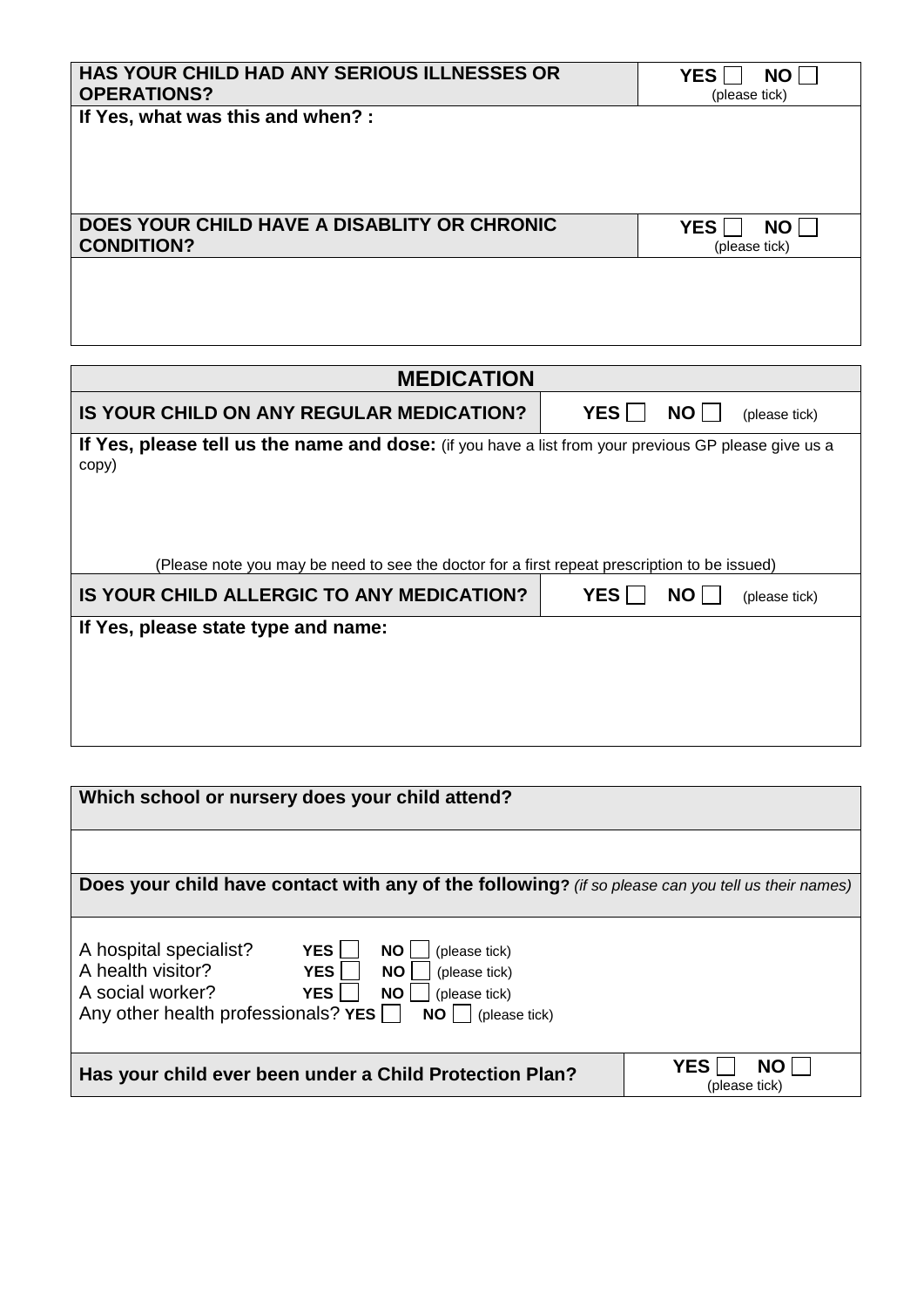| <b>HAS YOUR CHILD HAD ANY SERIOUS ILLNESSES OR</b><br><b>OPERATIONS?</b> | <b>YES</b><br><b>NO</b><br>(please tick) |
|--------------------------------------------------------------------------|------------------------------------------|
| If Yes, what was this and when? :                                        |                                          |
|                                                                          |                                          |
|                                                                          |                                          |
| DOES YOUR CHILD HAVE A DISABLITY OR CHRONIC<br><b>CONDITION?</b>         | <b>YES</b><br><b>NO</b><br>(please tick) |
|                                                                          |                                          |
|                                                                          |                                          |
|                                                                          |                                          |
|                                                                          |                                          |

| <b>MEDICATION</b>                                                                                             |                                          |  |  |  |
|---------------------------------------------------------------------------------------------------------------|------------------------------------------|--|--|--|
| IS YOUR CHILD ON ANY REGULAR MEDICATION?                                                                      | YES  <br>NO<br>(please tick)             |  |  |  |
| If Yes, please tell us the name and dose: (if you have a list from your previous GP please give us a<br>copy) |                                          |  |  |  |
| (Please note you may be need to see the doctor for a first repeat prescription to be issued)                  |                                          |  |  |  |
| IS YOUR CHILD ALLERGIC TO ANY MEDICATION?                                                                     | <b>YES</b><br><b>NO</b><br>(please tick) |  |  |  |
| If Yes, please state type and name:                                                                           |                                          |  |  |  |
|                                                                                                               |                                          |  |  |  |

| Which school or nursery does your child attend?                                                    |                  |  |  |
|----------------------------------------------------------------------------------------------------|------------------|--|--|
|                                                                                                    |                  |  |  |
|                                                                                                    |                  |  |  |
|                                                                                                    |                  |  |  |
| Does your child have contact with any of the following? (if so please can you tell us their names) |                  |  |  |
|                                                                                                    |                  |  |  |
|                                                                                                    |                  |  |  |
| A hospital specialist?<br>YES <sup>1</sup><br>(please tick)<br><b>NO</b>                           |                  |  |  |
| A health visitor?<br>YES <sup>I</sup><br><b>NO</b><br>(please tick)                                |                  |  |  |
|                                                                                                    |                  |  |  |
| A social worker?<br><b>YES</b><br><b>NO</b><br>(please tick)                                       |                  |  |  |
| Any other health professionals? $YES$<br><b>NO</b><br>(please tick)                                |                  |  |  |
|                                                                                                    |                  |  |  |
|                                                                                                    | <b>YES</b><br>NΩ |  |  |
| Has your child ever been under a Child Protection Plan?                                            |                  |  |  |
|                                                                                                    | (please tick)    |  |  |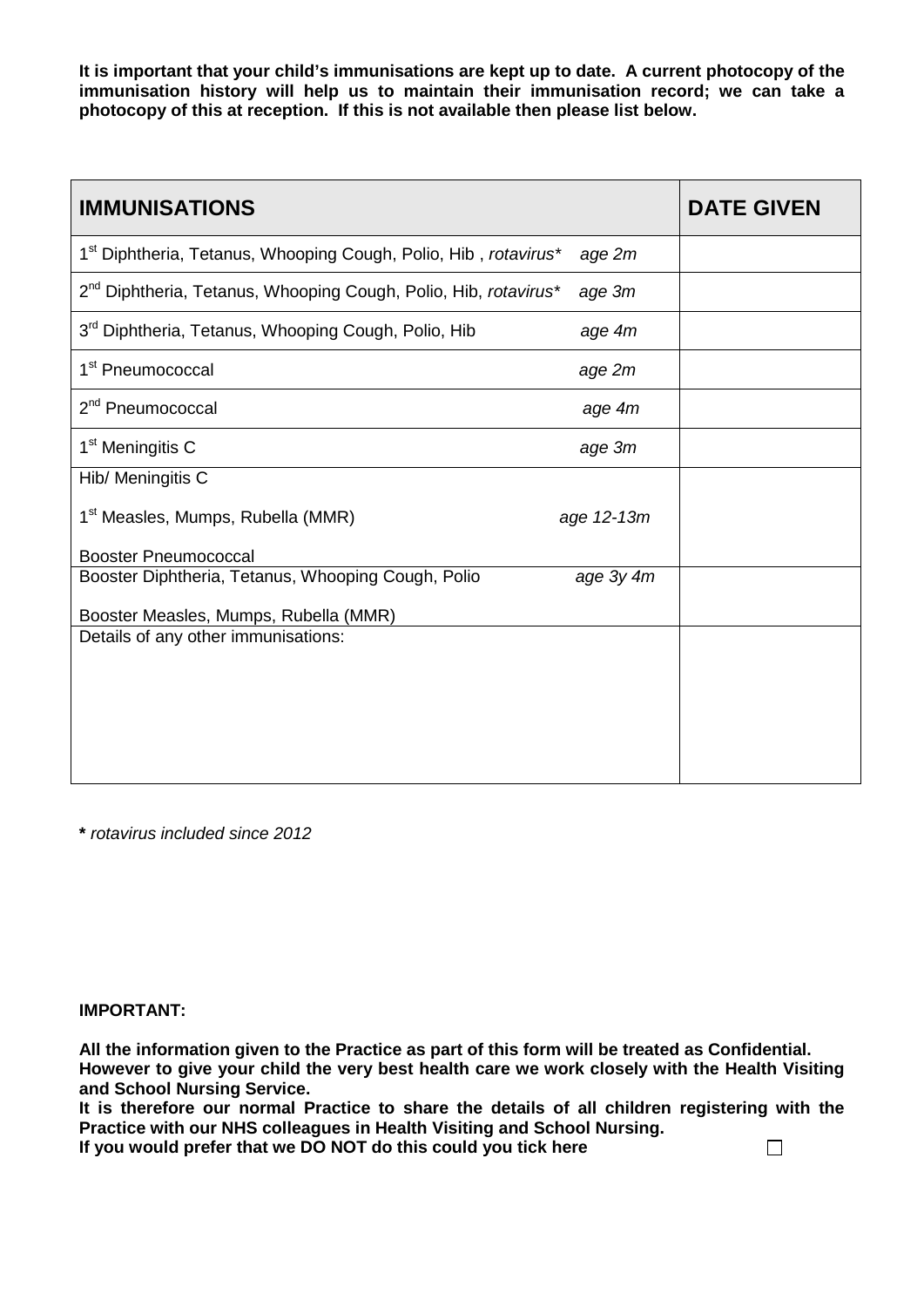**It is important that your child's immunisations are kept up to date. A current photocopy of the immunisation history will help us to maintain their immunisation record; we can take a photocopy of this at reception. If this is not available then please list below.**

| <b>IMMUNISATIONS</b>                                                        |            | <b>DATE GIVEN</b> |
|-----------------------------------------------------------------------------|------------|-------------------|
| 1 <sup>st</sup> Diphtheria, Tetanus, Whooping Cough, Polio, Hib, rotavirus* | age 2m     |                   |
| 2 <sup>nd</sup> Diphtheria, Tetanus, Whooping Cough, Polio, Hib, rotavirus* | age 3m     |                   |
| 3 <sup>rd</sup> Diphtheria, Tetanus, Whooping Cough, Polio, Hib             | age 4m     |                   |
| 1 <sup>st</sup> Pneumococcal                                                | age 2m     |                   |
| 2 <sup>nd</sup> Pneumococcal                                                | age 4m     |                   |
| 1 <sup>st</sup> Meningitis C                                                | age 3m     |                   |
| Hib/ Meningitis C                                                           |            |                   |
| 1 <sup>st</sup> Measles, Mumps, Rubella (MMR)                               | age 12-13m |                   |
| <b>Booster Pneumococcal</b>                                                 |            |                   |
| Booster Diphtheria, Tetanus, Whooping Cough, Polio                          | age 3y 4m  |                   |
| Booster Measles, Mumps, Rubella (MMR)                                       |            |                   |
| Details of any other immunisations:                                         |            |                   |
|                                                                             |            |                   |
|                                                                             |            |                   |
|                                                                             |            |                   |
|                                                                             |            |                   |
|                                                                             |            |                   |

**\*** *rotavirus included since 2012*

## **IMPORTANT:**

**All the information given to the Practice as part of this form will be treated as Confidential. However to give your child the very best health care we work closely with the Health Visiting and School Nursing Service.** 

**It is therefore our normal Practice to share the details of all children registering with the Practice with our NHS colleagues in Health Visiting and School Nursing.** 

**If you would prefer that we DO NOT do this could you tick here**